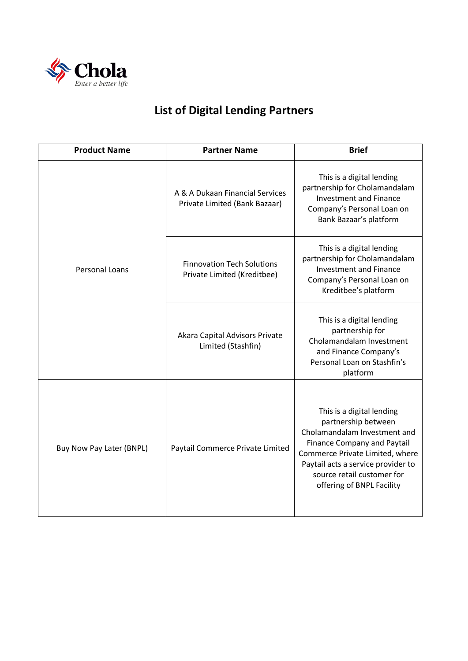

## **List of Digital Lending Partners**

| <b>Product Name</b>      | <b>Partner Name</b>                                              | <b>Brief</b>                                                                                                                                                                                                                                               |
|--------------------------|------------------------------------------------------------------|------------------------------------------------------------------------------------------------------------------------------------------------------------------------------------------------------------------------------------------------------------|
| <b>Personal Loans</b>    | A & A Dukaan Financial Services<br>Private Limited (Bank Bazaar) | This is a digital lending<br>partnership for Cholamandalam<br><b>Investment and Finance</b><br>Company's Personal Loan on<br>Bank Bazaar's platform                                                                                                        |
|                          | <b>Finnovation Tech Solutions</b><br>Private Limited (Kreditbee) | This is a digital lending<br>partnership for Cholamandalam<br><b>Investment and Finance</b><br>Company's Personal Loan on<br>Kreditbee's platform                                                                                                          |
|                          | Akara Capital Advisors Private<br>Limited (Stashfin)             | This is a digital lending<br>partnership for<br>Cholamandalam Investment<br>and Finance Company's<br>Personal Loan on Stashfin's<br>platform                                                                                                               |
| Buy Now Pay Later (BNPL) | Paytail Commerce Private Limited                                 | This is a digital lending<br>partnership between<br>Cholamandalam Investment and<br><b>Finance Company and Paytail</b><br>Commerce Private Limited, where<br>Paytail acts a service provider to<br>source retail customer for<br>offering of BNPL Facility |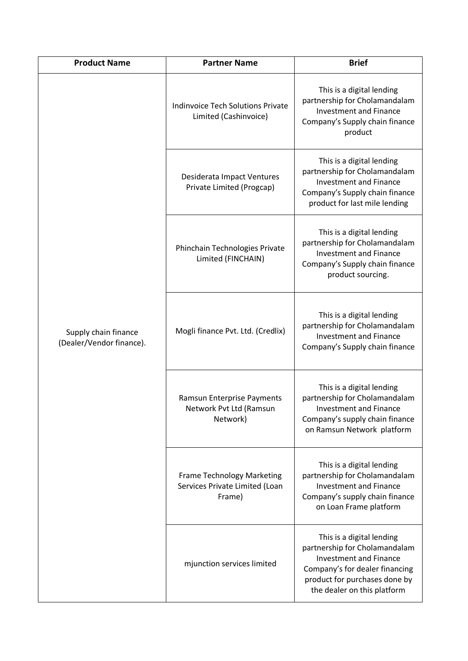| <b>Product Name</b>                              | <b>Partner Name</b>                                                           | <b>Brief</b>                                                                                                                                                                                  |
|--------------------------------------------------|-------------------------------------------------------------------------------|-----------------------------------------------------------------------------------------------------------------------------------------------------------------------------------------------|
| Supply chain finance<br>(Dealer/Vendor finance). | <b>Indinvoice Tech Solutions Private</b><br>Limited (Cashinvoice)             | This is a digital lending<br>partnership for Cholamandalam<br><b>Investment and Finance</b><br>Company's Supply chain finance<br>product                                                      |
|                                                  | Desiderata Impact Ventures<br>Private Limited (Progcap)                       | This is a digital lending<br>partnership for Cholamandalam<br><b>Investment and Finance</b><br>Company's Supply chain finance<br>product for last mile lending                                |
|                                                  | Phinchain Technologies Private<br>Limited (FINCHAIN)                          | This is a digital lending<br>partnership for Cholamandalam<br><b>Investment and Finance</b><br>Company's Supply chain finance<br>product sourcing.                                            |
|                                                  | Mogli finance Pvt. Ltd. (Credlix)                                             | This is a digital lending<br>partnership for Cholamandalam<br><b>Investment and Finance</b><br>Company's Supply chain finance                                                                 |
|                                                  | Ramsun Enterprise Payments<br>Network Pvt Ltd (Ramsun<br>Network)             | This is a digital lending<br>partnership for Cholamandalam<br><b>Investment and Finance</b><br>Company's supply chain finance<br>on Ramsun Network platform                                   |
|                                                  | <b>Frame Technology Marketing</b><br>Services Private Limited (Loan<br>Frame) | This is a digital lending<br>partnership for Cholamandalam<br><b>Investment and Finance</b><br>Company's supply chain finance<br>on Loan Frame platform                                       |
|                                                  | mjunction services limited                                                    | This is a digital lending<br>partnership for Cholamandalam<br><b>Investment and Finance</b><br>Company's for dealer financing<br>product for purchases done by<br>the dealer on this platform |